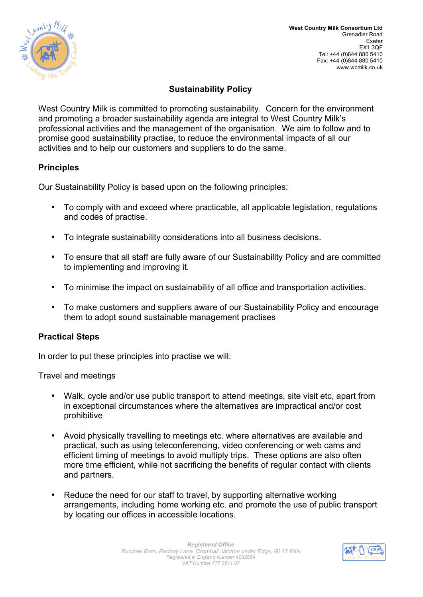

# **Sustainability Policy**

professional activities and the management of the organisation. We aim to follow and to West Country Milk is committed to promoting sustainability. Concern for the environment and promoting a broader sustainability agenda are integral to West Country Milk's promise good sustainability practise, to reduce the environmental impacts of all our activities and to help our customers and suppliers to do the same.

#### **Principles**

Our Sustainability Policy is based upon on the following principles:

- To comply with and exceed where practicable, all applicable legislation, regulations and codes of practise.
- To integrate sustainability considerations into all business decisions.
- To ensure that all staff are fully aware of our Sustainability Policy and are committed to implementing and improving it.
- To minimise the impact on sustainability of all office and transportation activities.
- To make customers and suppliers aware of our Sustainability Policy and encourage them to adopt sound sustainable management practises

#### **Practical Steps**

In order to put these principles into practise we will:

Travel and meetings

- Walk, cycle and/or use public transport to attend meetings, site visit etc, apart from in exceptional circumstances where the alternatives are impractical and/or cost prohibitive
- Avoid physically travelling to meetings etc. where alternatives are available and practical, such as using teleconferencing, video conferencing or web cams and efficient timing of meetings to avoid multiply trips. These options are also often more time efficient, while not sacrificing the benefits of regular contact with clients and partners.
- Reduce the need for our staff to travel, by supporting alternative working<br>arrangements, including home working etc. and promote the use of public transport<br>by locating our offices in accessible locations • Reduce the need for our staff to travel, by supporting alternative working by locating our offices in accessible locations.